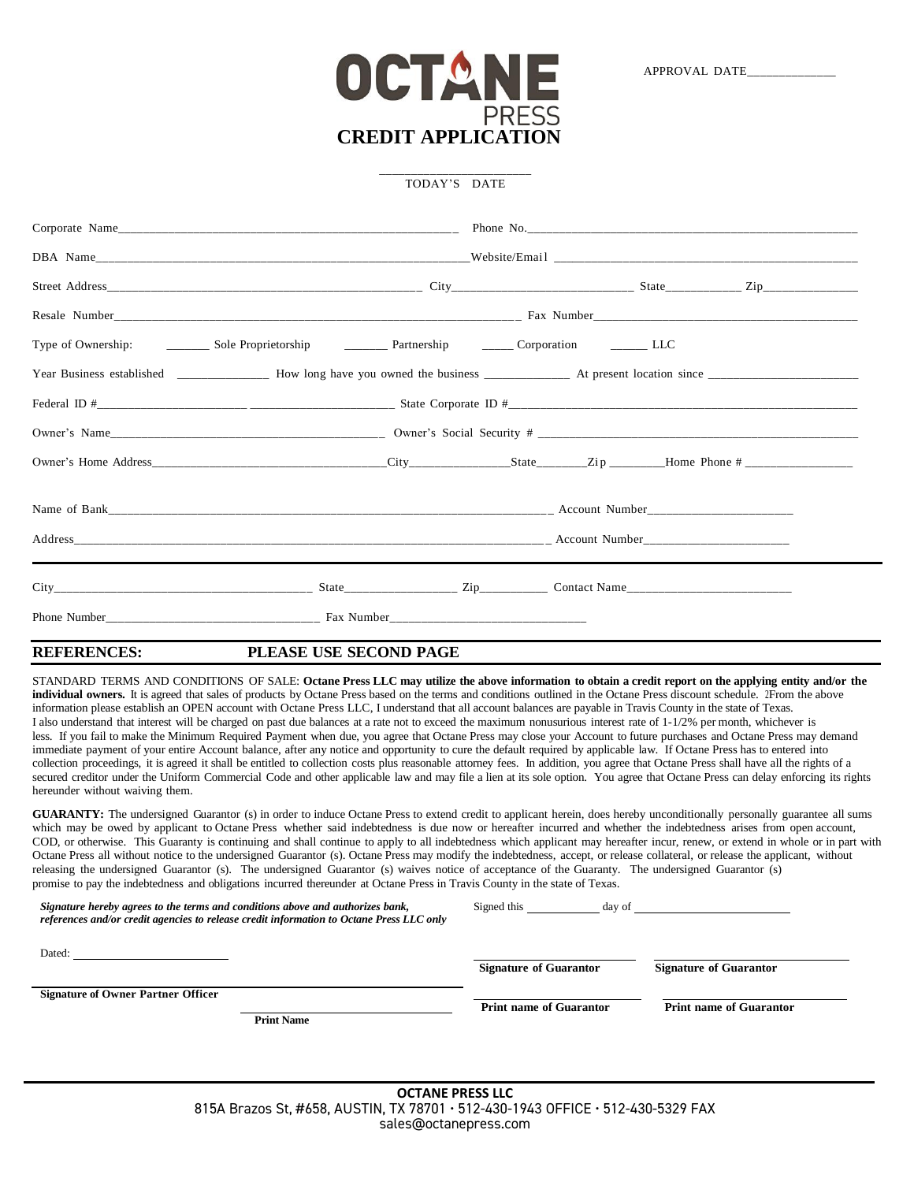

\_\_\_\_\_\_\_\_\_\_\_\_\_\_\_\_\_\_\_\_\_\_\_\_ TODAY'S DATE

| Type of Ownership: ____________ Sole Proprietorship _____________ Partnership ___________ Corporation __________ LLC |  |  |
|----------------------------------------------------------------------------------------------------------------------|--|--|
|                                                                                                                      |  |  |
|                                                                                                                      |  |  |
|                                                                                                                      |  |  |
|                                                                                                                      |  |  |
|                                                                                                                      |  |  |
|                                                                                                                      |  |  |
|                                                                                                                      |  |  |
|                                                                                                                      |  |  |

## **REFERENCES: PLEASE USE SECOND PAGE**

STANDARD TERMS AND CONDITIONS OF SALE: **Octane Press LLC may utilize the above information to obtain a credit report on the applying entity and/or the individual owners.** It is agreed that sales of products by Octane Press based on the terms and conditions outlined in the Octane Press discount schedule. 2From the above information please establish an OPEN account with Octane Press LLC, I understand that all account balances are payable in Travis County in the state of Texas. I also understand that interest will be charged on past due balances at a rate not to exceed the maximum nonusurious interest rate of 1-1/2% per month, whichever is less. If you fail to make the Minimum Required Payment when due, you agree that Octane Press may close your Account to future purchases and Octane Press may demand immediate payment of your entire Account balance, after any notice and opportunity to cure the default required by applicable law. If Octane Press has to entered into collection proceedings, it is agreed it shall be entitled to collection costs plus reasonable attorney fees. In addition, you agree that Octane Press shall have all the rights of a secured creditor under the Uniform Commercial Code and other applicable law and may file a lien at its sole option. You agree that Octane Press can delay enforcing its rights hereunder without waiving them.

GUARANTY: The undersigned Guarantor (s) in order to induce Octane Press to extend credit to applicant herein, does hereby unconditionally personally guarantee all sums which may be owed by applicant to Octane Press whether said indebtedness is due now or hereafter incurred and whether the indebtedness arises from open account, COD, or otherwise. This Guaranty is continuing and shall continue to apply to all indebtedness which applicant may hereafter incur, renew, or extend in whole or in part with Octane Press all without notice to the undersigned Guarantor (s). Octane Press may modify the indebtedness, accept, or release collateral, or release the applicant, without releasing the undersigned Guarantor (s). The undersigned Guarantor (s) waives notice of acceptance of the Guaranty. The undersigned Guarantor (s) promise to pay the indebtedness and obligations incurred thereunder at Octane Press in Travis County in the state of Texas.

| Signature hereby agrees to the terms and conditions above and authorizes bank,<br>references and/or credit agencies to release credit information to Octane Press LLC only | Signed this<br>day of          |                                |
|----------------------------------------------------------------------------------------------------------------------------------------------------------------------------|--------------------------------|--------------------------------|
| Dated:                                                                                                                                                                     | <b>Signature of Guarantor</b>  | <b>Signature of Guarantor</b>  |
| <b>Signature of Owner Partner Officer</b><br><b>Print Name</b>                                                                                                             | <b>Print name of Guarantor</b> | <b>Print name of Guarantor</b> |